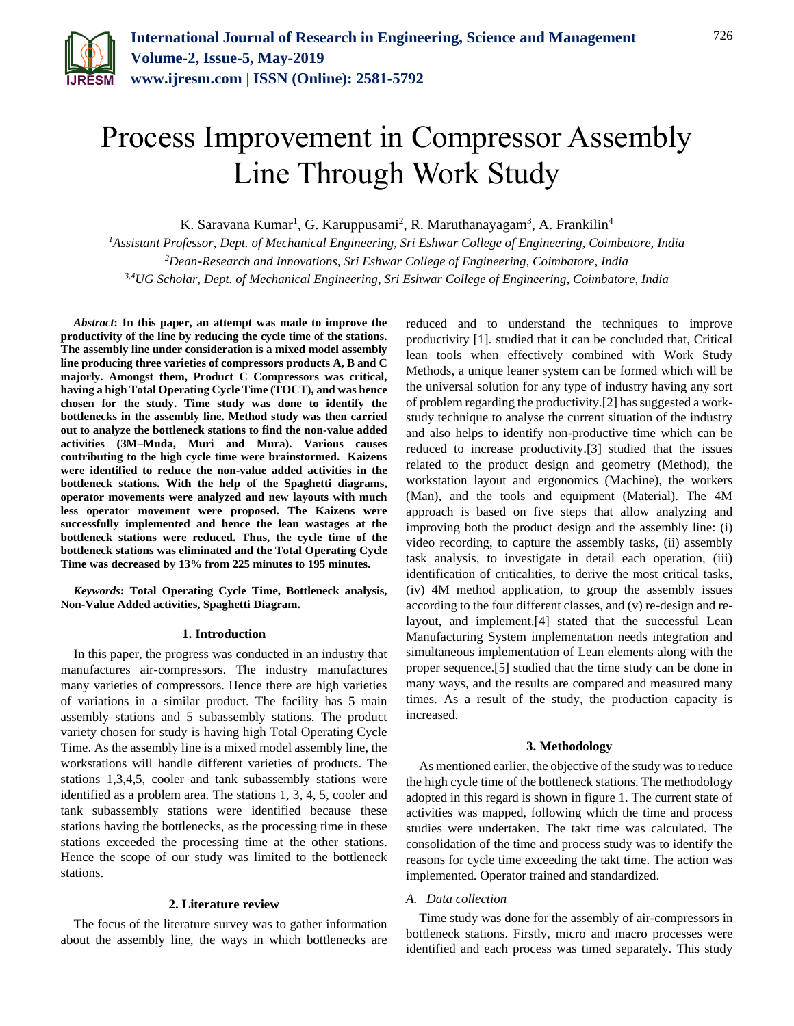

# Process Improvement in Compressor Assembly Line Through Work Study

K. Saravana Kumar<sup>1</sup>, G. Karuppusami<sup>2</sup>, R. Maruthanayagam<sup>3</sup>, A. Frankilin<sup>4</sup>

*<sup>1</sup>Assistant Professor, Dept. of Mechanical Engineering, Sri Eshwar College of Engineering, Coimbatore, India <sup>2</sup>Dean*-*Research and Innovations, Sri Eshwar College of Engineering, Coimbatore, India 3,4UG Scholar, Dept. of Mechanical Engineering, Sri Eshwar College of Engineering, Coimbatore, India*

*Abstract***: In this paper, an attempt was made to improve the productivity of the line by reducing the cycle time of the stations. The assembly line under consideration is a mixed model assembly line producing three varieties of compressors products A, B and C majorly. Amongst them, Product C Compressors was critical, having a high Total Operating Cycle Time (TOCT), and was hence chosen for the study. Time study was done to identify the bottlenecks in the assembly line. Method study was then carried out to analyze the bottleneck stations to find the non-value added activities (3M–Muda, Muri and Mura). Various causes contributing to the high cycle time were brainstormed. Kaizens were identified to reduce the non-value added activities in the bottleneck stations. With the help of the Spaghetti diagrams, operator movements were analyzed and new layouts with much less operator movement were proposed. The Kaizens were successfully implemented and hence the lean wastages at the bottleneck stations were reduced. Thus, the cycle time of the bottleneck stations was eliminated and the Total Operating Cycle Time was decreased by 13% from 225 minutes to 195 minutes.**

*Keywords***: Total Operating Cycle Time, Bottleneck analysis, Non-Value Added activities, Spaghetti Diagram.**

#### **1. Introduction**

In this paper, the progress was conducted in an industry that manufactures air-compressors. The industry manufactures many varieties of compressors. Hence there are high varieties of variations in a similar product. The facility has 5 main assembly stations and 5 subassembly stations. The product variety chosen for study is having high Total Operating Cycle Time. As the assembly line is a mixed model assembly line, the workstations will handle different varieties of products. The stations 1,3,4,5, cooler and tank subassembly stations were identified as a problem area. The stations 1, 3, 4, 5, cooler and tank subassembly stations were identified because these stations having the bottlenecks, as the processing time in these stations exceeded the processing time at the other stations. Hence the scope of our study was limited to the bottleneck stations.

### **2. Literature review**

The focus of the literature survey was to gather information about the assembly line, the ways in which bottlenecks are reduced and to understand the techniques to improve productivity [1]. studied that it can be concluded that, Critical lean tools when effectively combined with Work Study Methods, a unique leaner system can be formed which will be the universal solution for any type of industry having any sort of problem regarding the productivity.[2] has suggested a workstudy technique to analyse the current situation of the industry and also helps to identify non-productive time which can be reduced to increase productivity.[3] studied that the issues related to the product design and geometry (Method), the workstation layout and ergonomics (Machine), the workers (Man), and the tools and equipment (Material). The 4M approach is based on five steps that allow analyzing and improving both the product design and the assembly line: (i) video recording, to capture the assembly tasks, (ii) assembly task analysis, to investigate in detail each operation, (iii) identification of criticalities, to derive the most critical tasks, (iv) 4M method application, to group the assembly issues according to the four different classes, and (v) re-design and relayout, and implement.[4] stated that the successful Lean Manufacturing System implementation needs integration and simultaneous implementation of Lean elements along with the proper sequence.[5] studied that the time study can be done in many ways, and the results are compared and measured many times. As a result of the study, the production capacity is increased.

### **3. Methodology**

As mentioned earlier, the objective of the study was to reduce the high cycle time of the bottleneck stations. The methodology adopted in this regard is shown in figure 1. The current state of activities was mapped, following which the time and process studies were undertaken. The takt time was calculated. The consolidation of the time and process study was to identify the reasons for cycle time exceeding the takt time. The action was implemented. Operator trained and standardized.

## *A. Data collection*

Time study was done for the assembly of air-compressors in bottleneck stations. Firstly, micro and macro processes were identified and each process was timed separately. This study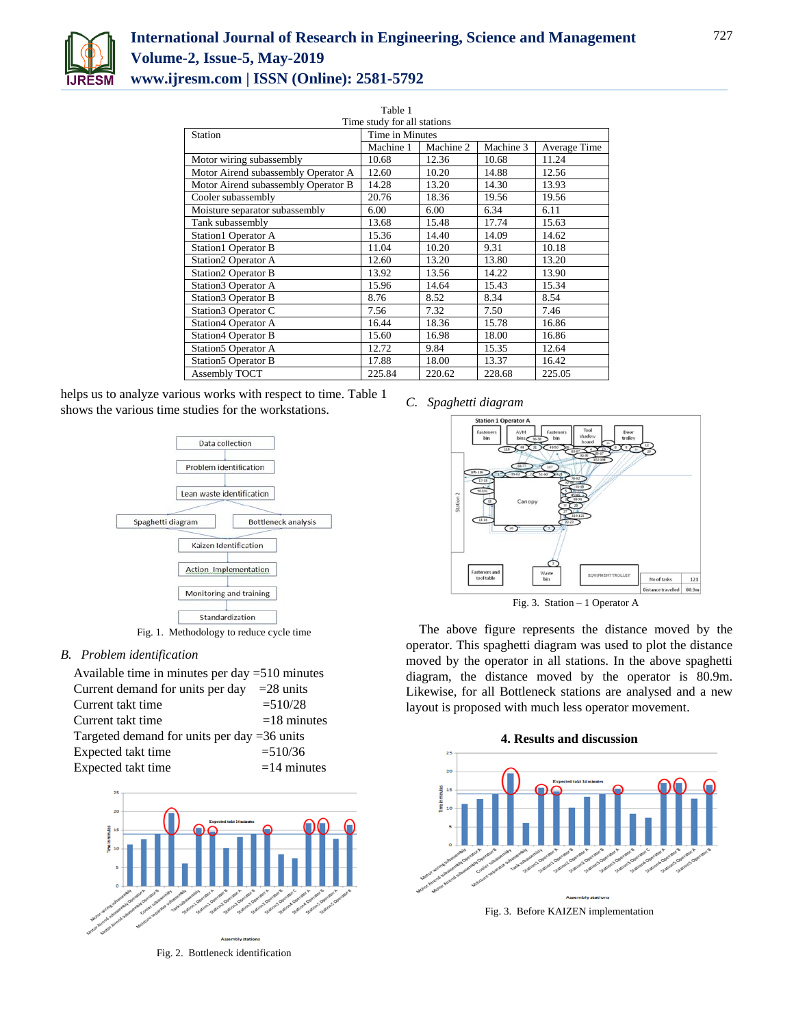

| Table 1                             |                 |           |           |              |
|-------------------------------------|-----------------|-----------|-----------|--------------|
| Time study for all stations         |                 |           |           |              |
| Station                             | Time in Minutes |           |           |              |
|                                     | Machine 1       | Machine 2 | Machine 3 | Average Time |
| Motor wiring subassembly            | 10.68           | 12.36     | 10.68     | 11.24        |
| Motor Airend subassembly Operator A | 12.60           | 10.20     | 14.88     | 12.56        |
| Motor Airend subassembly Operator B | 14.28           | 13.20     | 14.30     | 13.93        |
| Cooler subassembly                  | 20.76           | 18.36     | 19.56     | 19.56        |
| Moisture separator subassembly      | 6.00            | 6.00      | 6.34      | 6.11         |
| Tank subassembly                    | 13.68           | 15.48     | 17.74     | 15.63        |
| <b>Station1 Operator A</b>          | 15.36           | 14.40     | 14.09     | 14.62        |
| <b>Station1 Operator B</b>          | 11.04           | 10.20     | 9.31      | 10.18        |
| <b>Station2 Operator A</b>          | 12.60           | 13.20     | 13.80     | 13.20        |
| <b>Station2 Operator B</b>          | 13.92           | 13.56     | 14.22     | 13.90        |
| Station3 Operator A                 | 15.96           | 14.64     | 15.43     | 15.34        |
| <b>Station3 Operator B</b>          | 8.76            | 8.52      | 8.34      | 8.54         |
| Station3 Operator C                 | 7.56            | 7.32      | 7.50      | 7.46         |
| <b>Station4 Operator A</b>          | 16.44           | 18.36     | 15.78     | 16.86        |
| <b>Station4 Operator B</b>          | 15.60           | 16.98     | 18.00     | 16.86        |
| Station5 Operator A                 | 12.72           | 9.84      | 15.35     | 12.64        |
| <b>Station5 Operator B</b>          | 17.88           | 18.00     | 13.37     | 16.42        |
| Assembly TOCT                       | 225.84          | 220.62    | 228.68    | 225.05       |

helps us to analyze various works with respect to time. Table 1 shows the various time studies for the workstations.



Fig. 1. Methodology to reduce cycle time

*B. Problem identification*

| Available time in minutes per day $=510$ minutes |               |  |  |
|--------------------------------------------------|---------------|--|--|
| Current demand for units per day $=28$ units     |               |  |  |
| Current takt time                                | $=510/28$     |  |  |
| Current takt time                                | $=18$ minutes |  |  |
| Targeted demand for units per day $=36$ units    |               |  |  |
| Expected takt time                               | $=510/36$     |  |  |
| Expected takt time                               | $=14$ minutes |  |  |



Fig. 2. Bottleneck identification

## *C. Spaghetti diagram*



The above figure represents the distance moved by the operator. This spaghetti diagram was used to plot the distance moved by the operator in all stations. In the above spaghetti diagram, the distance moved by the operator is 80.9m. Likewise, for all Bottleneck stations are analysed and a new layout is proposed with much less operator movement.



Fig. 3. Before KAIZEN implementation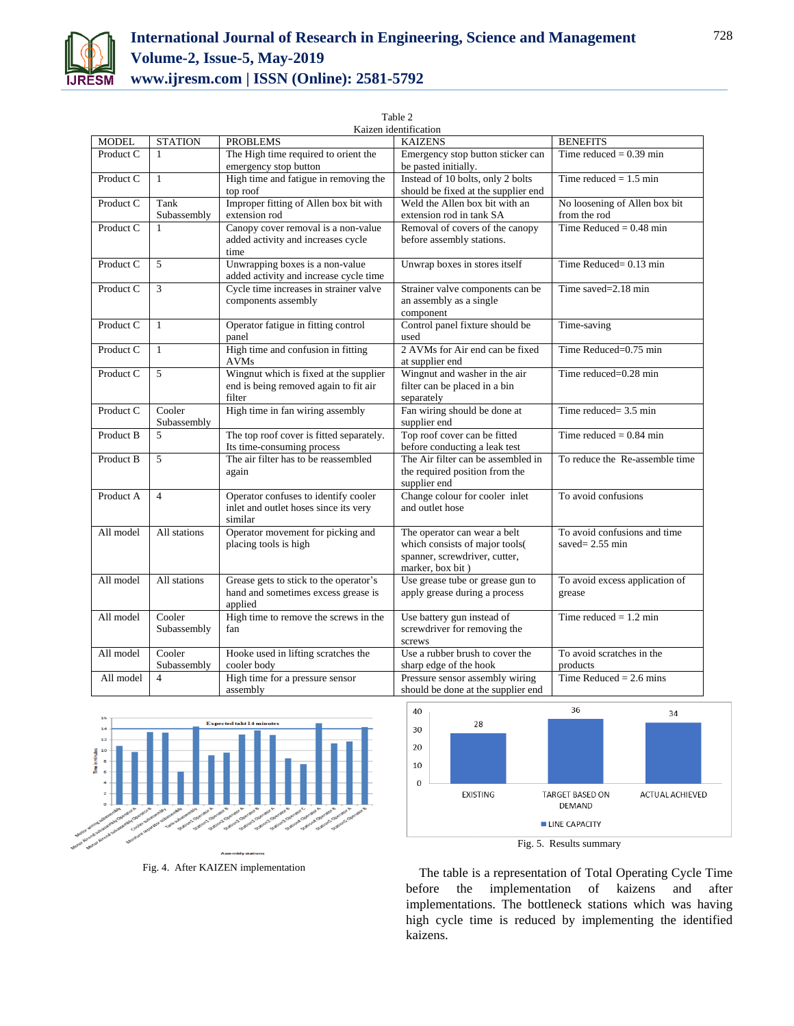

Table 2

| Kaizen identification |                |                                          |                                     |                                |  |
|-----------------------|----------------|------------------------------------------|-------------------------------------|--------------------------------|--|
| <b>MODEL</b>          | <b>STATION</b> | <b>PROBLEMS</b>                          | <b>KAIZENS</b>                      | <b>BENEFITS</b>                |  |
| Product C             | 1              | The High time required to orient the     | Emergency stop button sticker can   | Time reduced = $0.39$ min      |  |
|                       |                | emergency stop button                    | be pasted initially.                |                                |  |
| Product C             | $\mathbf{1}$   | High time and fatigue in removing the    | Instead of 10 bolts, only 2 bolts   | Time reduced $= 1.5$ min       |  |
|                       |                | top roof                                 | should be fixed at the supplier end |                                |  |
| Product C             | Tank           | Improper fitting of Allen box bit with   | Weld the Allen box bit with an      | No loosening of Allen box bit  |  |
|                       | Subassembly    | extension rod                            | extension rod in tank SA            | from the rod                   |  |
| Product C             | $\mathbf{1}$   | Canopy cover removal is a non-value      | Removal of covers of the canopy     | Time Reduced = $0.48$ min      |  |
|                       |                | added activity and increases cycle       | before assembly stations.           |                                |  |
|                       |                | time                                     |                                     |                                |  |
| Product C             | 5              | Unwrapping boxes is a non-value          | Unwrap boxes in stores itself       | Time Reduced $= 0.13$ min      |  |
|                       |                | added activity and increase cycle time   |                                     |                                |  |
| Product C             | 3              | Cycle time increases in strainer valve   | Strainer valve components can be    | Time saved=2.18 min            |  |
|                       |                | components assembly                      | an assembly as a single             |                                |  |
|                       |                |                                          | component                           |                                |  |
| Product C             | 1              | Operator fatigue in fitting control      | Control panel fixture should be     | Time-saving                    |  |
|                       |                | panel                                    | used                                |                                |  |
| Product C             | $\mathbf{1}$   | High time and confusion in fitting       | 2 AVMs for Air end can be fixed     | Time Reduced=0.75 min          |  |
|                       |                | <b>AVMs</b>                              | at supplier end                     |                                |  |
| Product C             | 5              | Wingnut which is fixed at the supplier   | Wingnut and washer in the air       | Time reduced=0.28 min          |  |
|                       |                | end is being removed again to fit air    | filter can be placed in a bin       |                                |  |
|                       |                | filter                                   | separately                          |                                |  |
| Product C             | Cooler         | High time in fan wiring assembly         | Fan wiring should be done at        | Time reduced= 3.5 min          |  |
|                       | Subassembly    |                                          | supplier end                        |                                |  |
| Product B             | $\overline{5}$ | The top roof cover is fitted separately. | Top roof cover can be fitted        | Time reduced $= 0.84$ min      |  |
|                       |                | Its time-consuming process               | before conducting a leak test       |                                |  |
| Product B             | 5              | The air filter has to be reassembled     | The Air filter can be assembled in  | To reduce the Re-assemble time |  |
|                       |                | again                                    | the required position from the      |                                |  |
|                       |                |                                          | supplier end                        |                                |  |
| Product A             | $\overline{4}$ | Operator confuses to identify cooler     | Change colour for cooler inlet      | To avoid confusions            |  |
|                       |                | inlet and outlet hoses since its very    | and outlet hose                     |                                |  |
|                       |                | similar                                  |                                     |                                |  |
| All model             | All stations   | Operator movement for picking and        | The operator can wear a belt        | To avoid confusions and time   |  |
|                       |                | placing tools is high                    | which consists of major tools(      | saved= $2.55 \text{ min}$      |  |
|                       |                |                                          | spanner, screwdriver, cutter,       |                                |  |
|                       |                |                                          | marker, box bit)                    |                                |  |
| All model             | All stations   | Grease gets to stick to the operator's   | Use grease tube or grease gun to    | To avoid excess application of |  |
|                       |                | hand and sometimes excess grease is      | apply grease during a process       | grease                         |  |
|                       |                | applied                                  |                                     |                                |  |
| All model             | Cooler         | High time to remove the screws in the    | Use battery gun instead of          | Time reduced $= 1.2$ min       |  |
|                       | Subassembly    | fan                                      | screwdriver for removing the        |                                |  |
|                       |                |                                          | screws                              |                                |  |
| All model             | Cooler         | Hooke used in lifting scratches the      | Use a rubber brush to cover the     | To avoid scratches in the      |  |
|                       | Subassembly    | cooler body                              | sharp edge of the hook              | products                       |  |
| All model             | $\overline{4}$ | High time for a pressure sensor          | Pressure sensor assembly wiring     | Time Reduced = $2.6$ mins      |  |
|                       |                | assembly                                 | should be done at the supplier end  |                                |  |





Fig. 4. After KAIZEN implementation

The table is a representation of Total Operating Cycle Time before the implementation of kaizens and after implementations. The bottleneck stations which was having high cycle time is reduced by implementing the identified kaizens.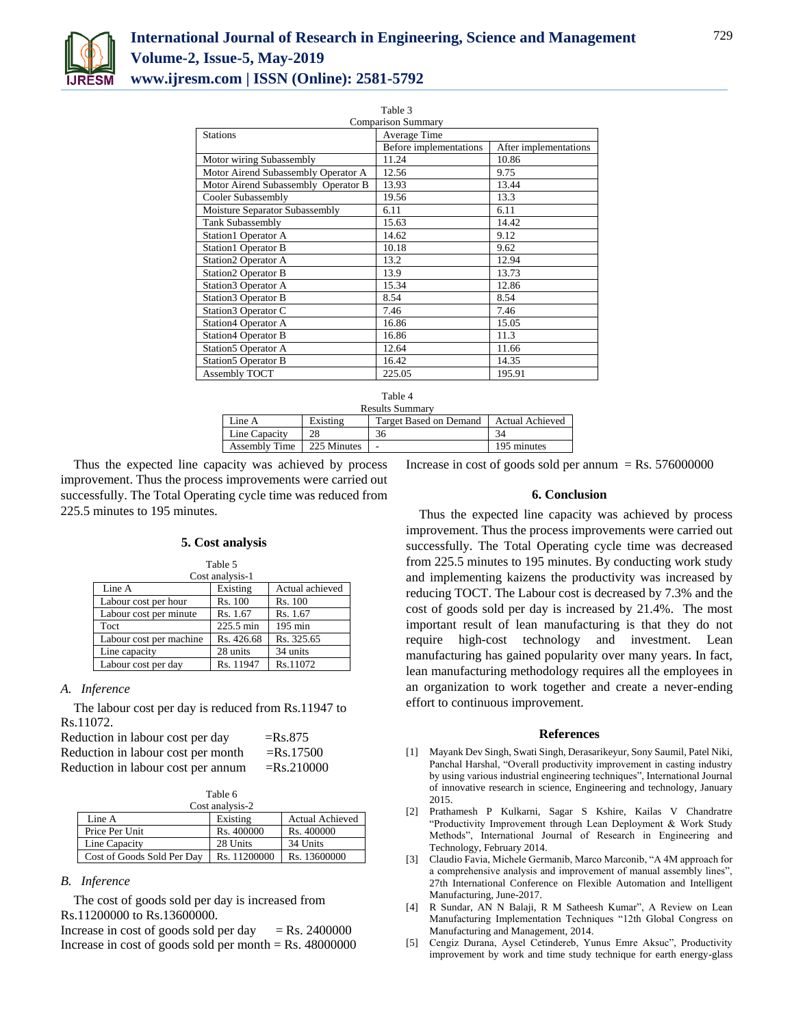

| Table 3                             |                        |                       |  |
|-------------------------------------|------------------------|-----------------------|--|
| <b>Comparison Summary</b>           |                        |                       |  |
| <b>Stations</b>                     | Average Time           |                       |  |
|                                     | Before implementations | After implementations |  |
| Motor wiring Subassembly            | 11.24                  | 10.86                 |  |
| Motor Airend Subassembly Operator A | 12.56                  | 9.75                  |  |
| Motor Airend Subassembly Operator B | 13.93                  | 13.44                 |  |
| Cooler Subassembly                  | 19.56                  | 13.3                  |  |
| Moisture Separator Subassembly      | 6.11                   | 6.11                  |  |
| <b>Tank Subassembly</b>             | 15.63                  | 14.42                 |  |
| <b>Station1 Operator A</b>          | 14.62                  | 9.12                  |  |
| <b>Station1 Operator B</b>          | 10.18                  | 9.62                  |  |
| <b>Station2 Operator A</b>          | 13.2                   | 12.94                 |  |
| <b>Station2 Operator B</b>          | 13.9                   | 13.73                 |  |
| Station 3 Operator A                | 15.34                  | 12.86                 |  |
| Station 3 Operator B                | 8.54                   | 8.54                  |  |
| Station3 Operator C                 | 7.46                   | 7.46                  |  |
| Station4 Operator A                 | 16.86                  | 15.05                 |  |
| <b>Station4 Operator B</b>          | 16.86                  | 11.3                  |  |
| Station5 Operator A                 | 12.64                  | 11.66                 |  |
| <b>Station5 Operator B</b>          | 16.42                  | 14.35                 |  |
| Assembly TOCT                       | 225.05                 | 195.91                |  |

| Table 4                |             |                        |                        |
|------------------------|-------------|------------------------|------------------------|
| <b>Results Summary</b> |             |                        |                        |
| Line A                 | Existing    | Target Based on Demand | <b>Actual Achieved</b> |
| Line Capacity          | 28          | 36                     |                        |
| Assembly Time          | 225 Minutes |                        | 195 minutes            |

Thus the expected line capacity was achieved by process improvement. Thus the process improvements were carried out successfully. The Total Operating cycle time was reduced from 225.5 minutes to 195 minutes.

## **5. Cost analysis**

| Table 5                 |            |                   |  |
|-------------------------|------------|-------------------|--|
| Cost analysis-1         |            |                   |  |
| Line A                  | Existing   | Actual achieved   |  |
| Labour cost per hour    | Rs. 100    | Rs. 100           |  |
| Labour cost per minute  | Rs. 1.67   | Rs. 1.67          |  |
| Toct                    | 225.5 min  | $195 \text{ min}$ |  |
| Labour cost per machine | Rs. 426.68 | Rs. 325.65        |  |
| Line capacity           | 28 units   | 34 units          |  |
| Labour cost per day     | Rs. 11947  | Rs.11072          |  |
|                         |            |                   |  |

## *A. Inference*

The labour cost per day is reduced from Rs.11947 to Rs.11072.

| Reduction in labour cost per day   | $=$ Rs.875    |
|------------------------------------|---------------|
| Reduction in labour cost per month | $=$ Rs.17500  |
| Reduction in labour cost per annum | $=$ Rs.210000 |

| Table 6         |
|-----------------|
| منويعا وهواءوها |

| Cost analysis-2            |              |                        |  |
|----------------------------|--------------|------------------------|--|
| Line A                     | Existing     | <b>Actual Achieved</b> |  |
| Price Per Unit             | Rs. 400000   | Rs. 400000             |  |
| Line Capacity              | 28 Units     | 34 Units               |  |
| Cost of Goods Sold Per Day | Rs. 11200000 | Rs. 13600000           |  |

## *B. Inference*

The cost of goods sold per day is increased from Rs.11200000 to Rs.13600000.

Increase in cost of goods sold per day  $=$  Rs. 2400000 Increase in cost of goods sold per month  $=$  Rs. 48000000 Increase in cost of goods sold per annum = Rs.  $576000000$ 

### **6. Conclusion**

Thus the expected line capacity was achieved by process improvement. Thus the process improvements were carried out successfully. The Total Operating cycle time was decreased from 225.5 minutes to 195 minutes. By conducting work study and implementing kaizens the productivity was increased by reducing TOCT. The Labour cost is decreased by 7.3% and the cost of goods sold per day is increased by 21.4%. The most important result of lean manufacturing is that they do not require high-cost technology and investment. Lean manufacturing has gained popularity over many years. In fact, lean manufacturing methodology requires all the employees in an organization to work together and create a never-ending effort to continuous improvement.

### **References**

- [1] Mayank Dev Singh, Swati Singh, Derasarikeyur, Sony Saumil, Patel Niki, Panchal Harshal, "Overall productivity improvement in casting industry by using various industrial engineering techniques", International Journal of innovative research in science, Engineering and technology, January 2015.
- [2] Prathamesh P Kulkarni, Sagar S Kshire, Kailas V Chandratre "Productivity Improvement through Lean Deployment & Work Study Methods", International Journal of Research in Engineering and Technology, February 2014.
- [3] Claudio Favia, Michele Germanib, Marco Marconib, "A 4M approach for a comprehensive analysis and improvement of manual assembly lines", 27th International Conference on Flexible Automation and Intelligent Manufacturing, June-2017.
- [4] R Sundar, AN N Balaji, R M Satheesh Kumar", A Review on Lean Manufacturing Implementation Techniques "12th Global Congress on Manufacturing and Management, 2014.
- [5] Cengiz Durana, Aysel Cetindereb, Yunus Emre Aksuc", Productivity improvement by work and time study technique for earth energy-glass